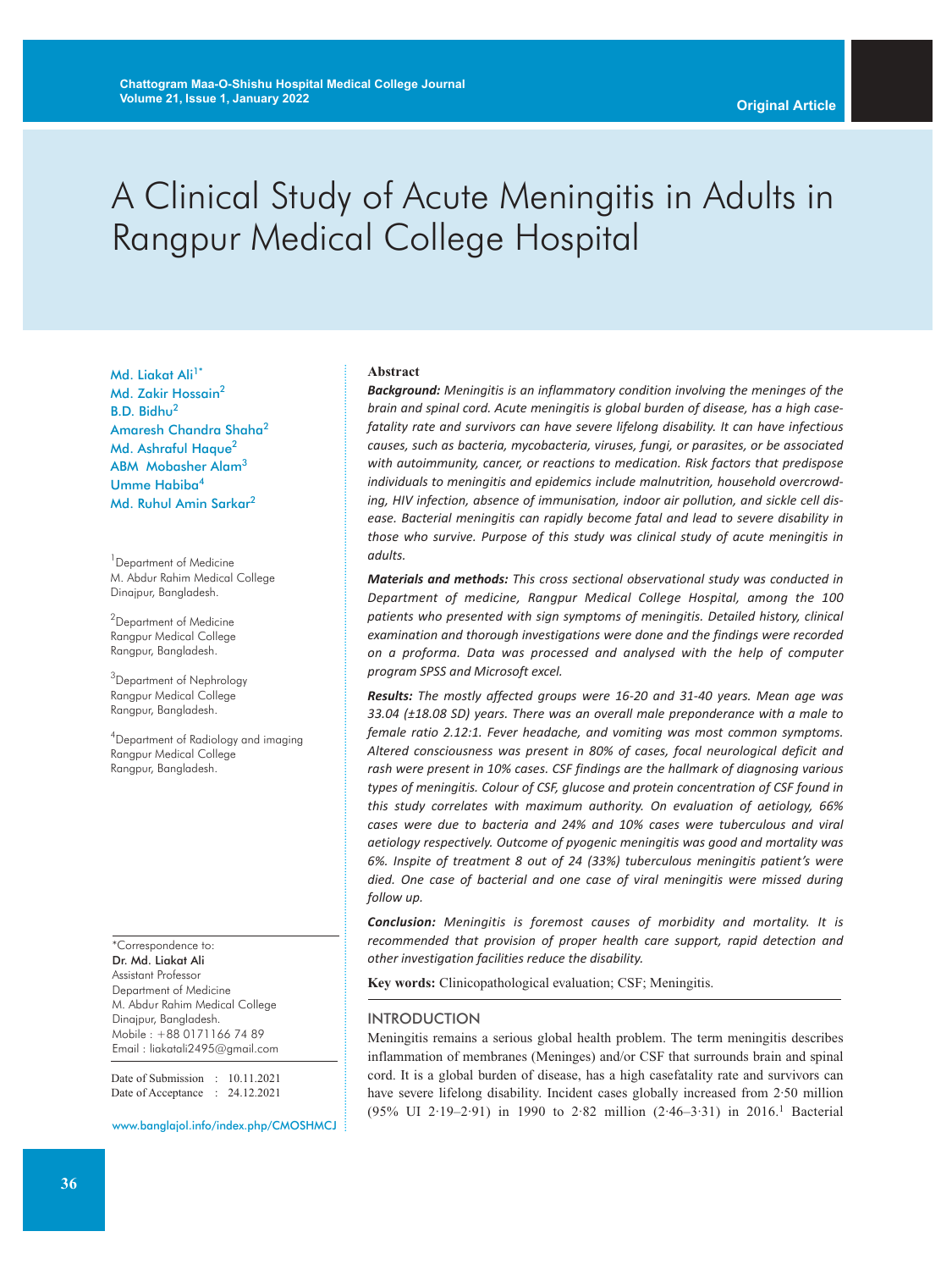# A Clinical Study of Acute Meningitis in Adults in Rangpur Medical College Hospital

Md. Liakat Ali<sup>1\*</sup> Md. Zakir Hossain<sup>2</sup> B.D. Bidhu2 Amaresh Chandra Shaha2 Md. Ashraful Haque<sup>2</sup> ABM Mobasher Alam3 Umme Habiba<sup>4</sup> Md. Ruhul Amin Sarkar 2

<sup>1</sup> Department of Medicine M. Abdur Rahim Medical College Dinajpur, Bangladesh.

<sup>2</sup>Department of Medicine Rangpur Medical College Rangpur, Bangladesh.

<sup>3</sup>Department of Nephrology Rangpur Medical College Rangpur, Bangladesh.

4 Department of Radiology and imaging Rangpur Medical College Rangpur, Bangladesh.

\*Correspondence to: Dr. Md. Liakat Ali Assistant Professor Department of Medicine M. Abdur Rahim Medical College Dinajpur, Bangladesh. Mobile : +88 0171166 74 89 Email : liakatali2495@gmail.com

Date of Submission : 10.11.2021 Date of Acceptance : 24.12.2021

www.banglajol.info/index.php/CMOSHMCJ

#### **Abstract**

*Background: Meningitis is an inflammatory condition involving the meninges of the brain and spinal cord. Acute meningitis is global burden of disease, has a high casefatality rate and survivors can have severe lifelong disability. It can have infectious causes, such as bacteria, mycobacteria, viruses, fungi, or parasites, or be associated with autoimmunity, cancer, or reactions to medication. Risk factors that predispose individuals to meningitis and epidemics include malnutrition, household overcrowding, HIV infection, absence of immunisation, indoor air pollution, and sickle cell disease. Bacterial meningitis can rapidly become fatal and lead to severe disability in those who survive. Purpose of this study was clinical study of acute meningitis in adults.*

*Materials and methods: This cross sectional observational study was conducted in Department of medicine, Rangpur Medical College Hospital, among the 100 patients who presented with sign symptoms of meningitis. Detailed history, clinical examination and thorough investigations were done and the findings were recorded on a proforma. Data was processed and analysed with the help of computer program SPSS and Microsoft excel.*

*Results: The mostly affected groups were 16-20 and 31-40 years. Mean age was 33.04 (±18.08 SD) years. There was an overall male preponderance with a male to female ratio 2.12:1. Fever headache, and vomiting was most common symptoms. Altered consciousness was present in 80% of cases, focal neurological deficit and rash were present in 10% cases. CSF findings are the hallmark of diagnosing various types of meningitis. Colour of CSF, glucose and protein concentration of CSF found in this study correlates with maximum authority. On evaluation of aetiology, 66% cases were due to bacteria and 24% and 10% cases were tuberculous and viral aetiology respectively. Outcome of pyogenic meningitis was good and mortality was 6%. Inspite of treatment 8 out of 24 (33%) tuberculous meningitis patient's were died. One case of bacterial and one case of viral meningitis were missed during follow up.*

*Conclusion: Meningitis is foremost causes of morbidity and mortality. It is recommended that provision of proper health care support, rapid detection and other investigation facilities reduce the disability.*

**Key words:** Clinicopathological evaluation; CSF; Meningitis.

#### INTRODUCTION

Meningitis remains a serious global health problem. The term meningitis describes inflammation of membranes (Meninges) and/or CSF that surrounds brain and spinal cord. It is a global burden of disease, has a high casefatality rate and survivors can have severe lifelong disability. Incident cases globally increased from 2·50 million (95% UI 2·19–2·91) in 1990 to 2·82 million (2·46–3·31) in 2016. <sup>1</sup> Bacterial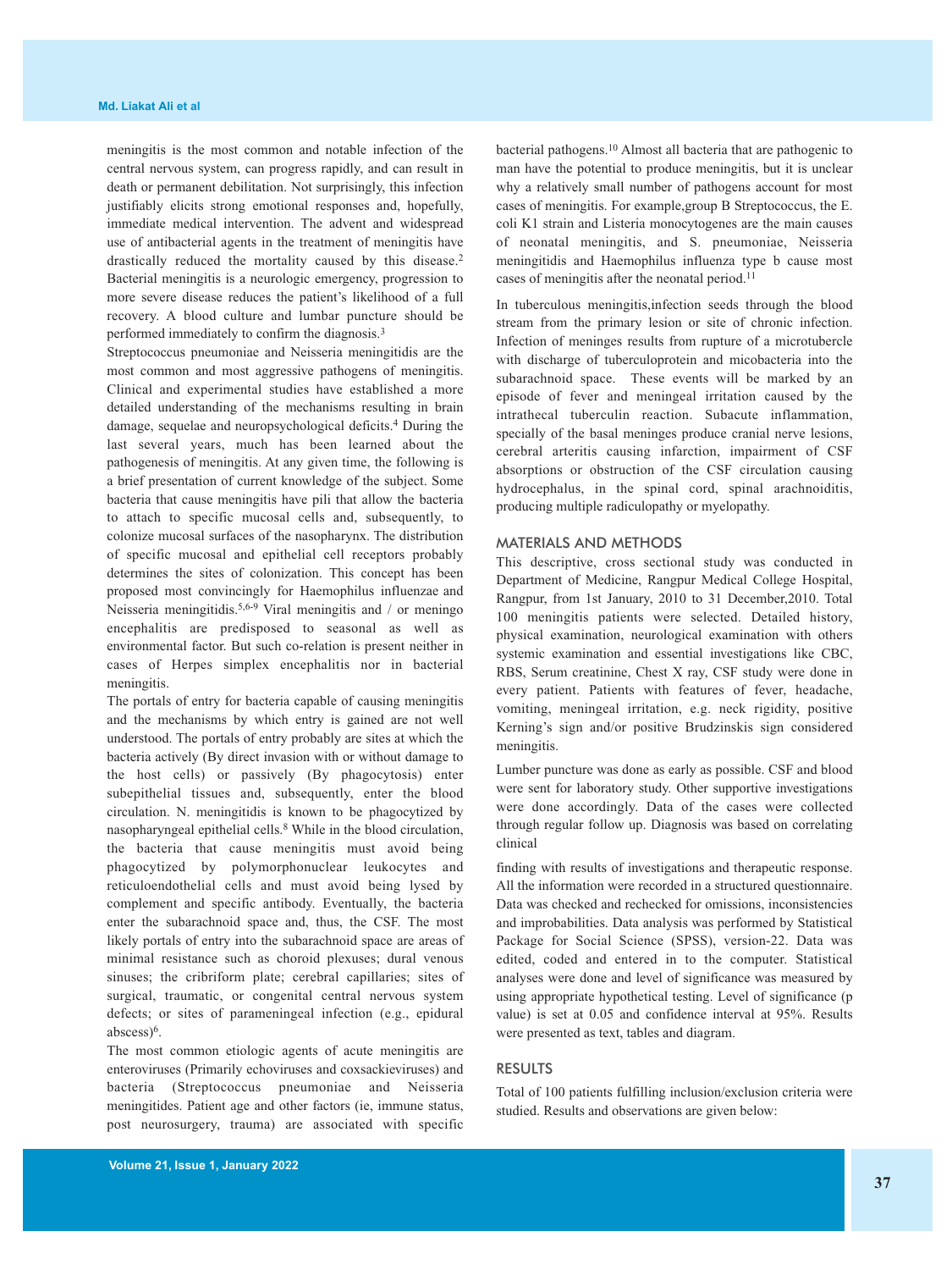meningitis is the most common and notable infection of the central nervous system, can progress rapidly, and can result in death or permanent debilitation. Not surprisingly, this infection justifiably elicits strong emotional responses and, hopefully, immediate medical intervention. The advent and widespread use of antibacterial agents in the treatment of meningitis have drastically reduced the mortality caused by this disease. 2 Bacterial meningitis is a neurologic emergency, progression to more severe disease reduces the patient's likelihood of a full recovery. A blood culture and lumbar puncture should be performed immediately to confirm the diagnosis.<sup>3</sup>

Streptococcus pneumoniae and Neisseria meningitidis are the most common and most aggressive pathogens of meningitis. Clinical and experimental studies have established a more detailed understanding of the mechanisms resulting in brain damage, sequelae and neuropsychological deficits. <sup>4</sup> During the last several years, much has been learned about the pathogenesis of meningitis. At any given time, the following is a brief presentation of current knowledge of the subject. Some bacteria that cause meningitis have pili that allow the bacteria to attach to specific mucosal cells and, subsequently, to colonize mucosal surfaces of the nasopharynx. The distribution of specific mucosal and epithelial cell receptors probably determines the sites of colonization. This concept has been proposed most convincingly for Haemophilus influenzae and Neisseria meningitidis.<sup>5,6-9</sup> Viral meningitis and / or meningo encephalitis are predisposed to seasonal as well as environmental factor. But such co-relation is present neither in cases of Herpes simplex encephalitis nor in bacterial meningitis.

The portals of entry for bacteria capable of causing meningitis and the mechanisms by which entry is gained are not well understood. The portals of entry probably are sites at which the bacteria actively (By direct invasion with or without damage to the host cells) or passively (By phagocytosis) enter subepithelial tissues and, subsequently, enter the blood circulation. N. meningitidis is known to be phagocytized by nasopharyngeal epithelial cells. <sup>8</sup> While in the blood circulation, the bacteria that cause meningitis must avoid being phagocytized by polymorphonuclear leukocytes and reticuloendothelial cells and must avoid being lysed by complement and specific antibody. Eventually, the bacteria enter the subarachnoid space and, thus, the CSF. The most likely portals of entry into the subarachnoid space are areas of minimal resistance such as choroid plexuses; dural venous sinuses; the cribriform plate; cerebral capillaries; sites of surgical, traumatic, or congenital central nervous system defects; or sites of parameningeal infection (e.g., epidural abscess)6.

The most common etiologic agents of acute meningitis are enteroviruses (Primarily echoviruses and coxsackieviruses) and bacteria (Streptococcus pneumoniae and Neisseria meningitides. Patient age and other factors (ie, immune status, post neurosurgery, trauma) are associated with specific

bacterial pathogens. <sup>10</sup> Almost all bacteria that are pathogenic to man have the potential to produce meningitis, but it is unclear why a relatively small number of pathogens account for most cases of meningitis. For example,group B Streptococcus, the E. coli K1 strain and Listeria monocytogenes are the main causes of neonatal meningitis, and S. pneumoniae, Neisseria meningitidis and Haemophilus influenza type b cause most cases of meningitis after the neonatal period. 11

In tuberculous meningitis,infection seeds through the blood stream from the primary lesion or site of chronic infection. Infection of meninges results from rupture of a microtubercle with discharge of tuberculoprotein and micobacteria into the subarachnoid space. These events will be marked by an episode of fever and meningeal irritation caused by the intrathecal tuberculin reaction. Subacute inflammation, specially of the basal meninges produce cranial nerve lesions, cerebral arteritis causing infarction, impairment of CSF absorptions or obstruction of the CSF circulation causing hydrocephalus, in the spinal cord, spinal arachnoiditis, producing multiple radiculopathy or myelopathy.

#### MATERIALS AND METHODS

This descriptive, cross sectional study was conducted in Department of Medicine, Rangpur Medical College Hospital, Rangpur, from 1st January, 2010 to 31 December,2010. Total 100 meningitis patients were selected. Detailed history, physical examination, neurological examination with others systemic examination and essential investigations like CBC, RBS, Serum creatinine, Chest X ray, CSF study were done in every patient. Patients with features of fever, headache, vomiting, meningeal irritation, e.g. neck rigidity, positive Kerning's sign and/or positive Brudzinskis sign considered meningitis.

Lumber puncture was done as early as possible. CSF and blood were sent for laboratory study. Other supportive investigations were done accordingly. Data of the cases were collected through regular follow up. Diagnosis was based on correlating clinical

finding with results of investigations and therapeutic response. All the information were recorded in a structured questionnaire. Data was checked and rechecked for omissions, inconsistencies and improbabilities. Data analysis was performed by Statistical Package for Social Science (SPSS), version-22. Data was edited, coded and entered in to the computer. Statistical analyses were done and level of significance was measured by using appropriate hypothetical testing. Level of significance (p value) is set at 0.05 and confidence interval at 95%. Results were presented as text, tables and diagram.

#### RESULTS

Total of 100 patients fulfilling inclusion/exclusion criteria were studied. Results and observations are given below: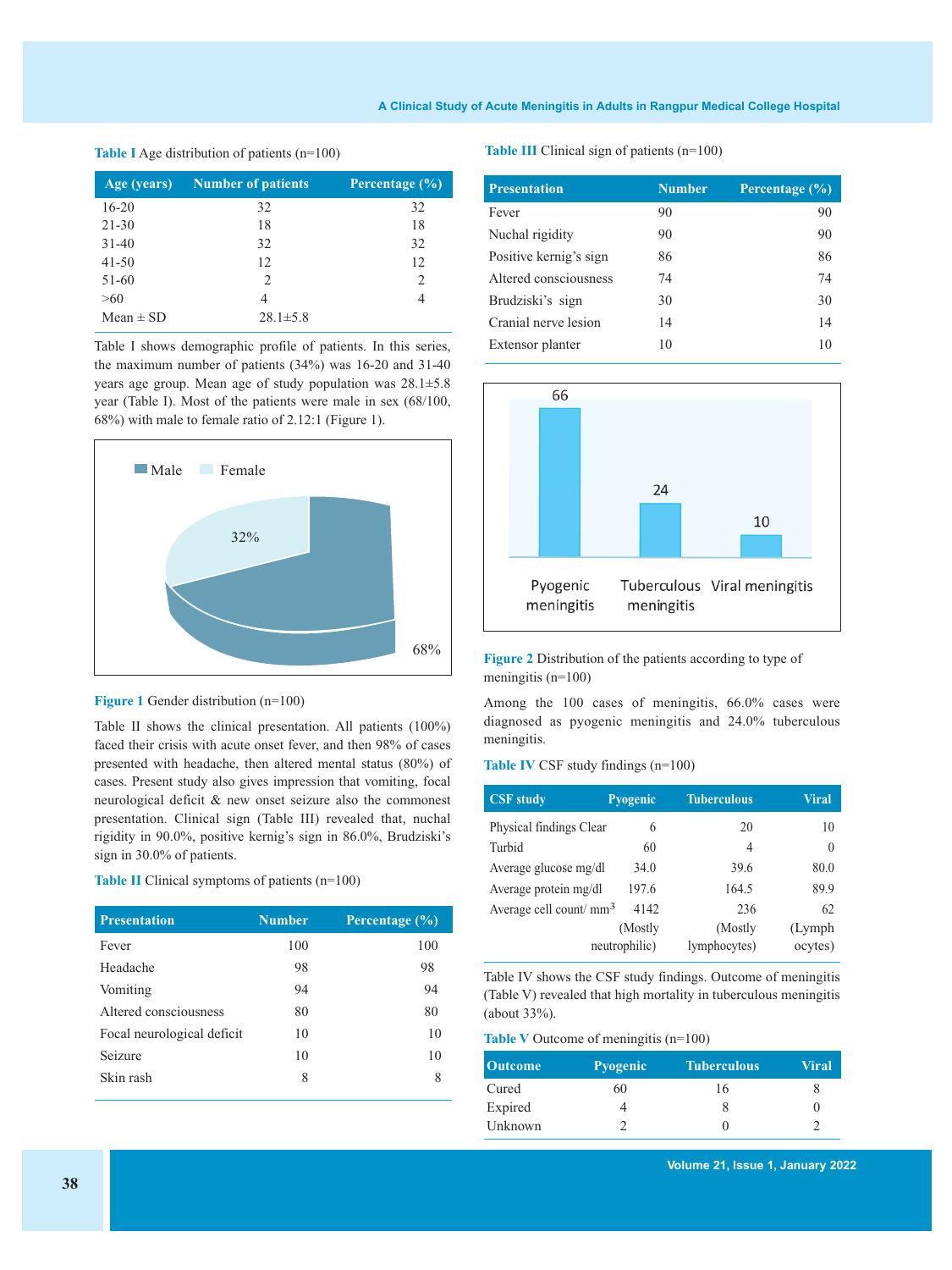#### **A Clinical Study of Acute Meningitis in Adults in Rangpur Medical College Hospital**

#### **Table I** Age distribution of patients (n=100)

| Age (years)   | <b>Number of patients</b> | Percentage $(\% )$          |
|---------------|---------------------------|-----------------------------|
| $16 - 20$     | 32                        | 32                          |
| $21 - 30$     | 18                        | 18                          |
| $31 - 40$     | 32                        | 32                          |
| $41 - 50$     | 12                        | 12                          |
| 51-60         | 2                         | $\mathcal{D}_{\mathcal{A}}$ |
| >60           | 4                         | 4                           |
| Mean $\pm$ SD | $28.1 \pm 5.8$            |                             |

Table I shows demographic profile of patients. In this series, the maximum number of patients (34%) was 16-20 and 31-40 years age group. Mean age of study population was 28.1±5.8 year (Table I). Most of the patients were male in sex (68/100, 68%) with male to female ratio of 2.12:1 (Figure 1).





Table II shows the clinical presentation. All patients (100%) faced their crisis with acute onset fever, and then 98% of cases presented with headache, then altered mental status (80%) of cases. Present study also gives impression that vomiting, focal neurological deficit & new onset seizure also the commonest presentation. Clinical sign (Table III) revealed that, nuchal rigidity in 90.0%, positive kernig's sign in 86.0%, Brudziski's sign in 30.0% of patients.

#### **Table II** Clinical symptoms of patients (n=100)

| <b>Presentation</b>        | <b>Number</b> | Percentage $(\%)$ |
|----------------------------|---------------|-------------------|
| Fever                      | 100           | 100               |
| Headache                   | 98            | 98                |
| Vomiting                   | 94            | 94                |
| Altered consciousness      | 80            | 80                |
| Focal neurological deficit | 10            | 10                |
| Seizure                    | 10            | 10                |
| Skin rash                  | 8             | 8                 |

**Table III** Clinical sign of patients (n=100)

| <b>Presentation</b>    | <b>Number</b> | Percentage $(\% )$ |
|------------------------|---------------|--------------------|
| Fever                  | 90            | 90                 |
| Nuchal rigidity        | 90            | 90                 |
| Positive kernig's sign | 86            | 86                 |
| Altered consciousness  | 74            | 74                 |
| Brudziski's sign       | 30            | 30                 |
| Cranial nerve lesion   | 14            | 14                 |
| Extensor planter       | 10            | 10                 |



**Figure 2** Distribution of the patients according to type of meningitis (n=100)

Among the 100 cases of meningitis, 66.0% cases were diagnosed as pyogenic meningitis and 24.0% tuberculous meningitis.

#### **Table IV** CSF study findings (n=100)

| <b>CSF</b> study                   | Pyogenic      | <b>Tuberculous</b> | <b>Viral</b> |
|------------------------------------|---------------|--------------------|--------------|
| Physical findings Clear            | 6             | 20                 | 10           |
| Turbid                             | 60            | $\overline{4}$     | $\theta$     |
| Average glucose mg/dl              | 34.0          | 39.6               | 80.0         |
| Average protein mg/dl              | 197.6         | 164.5              | 89.9         |
| Average cell count/mm <sup>3</sup> | 4142          | 236                | 62           |
|                                    | (Mostly)      | (Mostly)           | (Lymph)      |
|                                    | neutrophilic) | lymphocytes)       | ocytes)      |

Table IV shows the CSF study findings. Outcome of meningitis (Table V) revealed that high mortality in tuberculous meningitis (about 33%).

#### **Table V** Outcome of meningitis (n=100)

| <b>Outcome</b> | <b>Pyogenic</b> | <b>Tuberculous</b> | Viral |
|----------------|-----------------|--------------------|-------|
| Cured          | 60              | 16                 | x     |
| Expired        |                 |                    |       |
| Unknown        |                 |                    |       |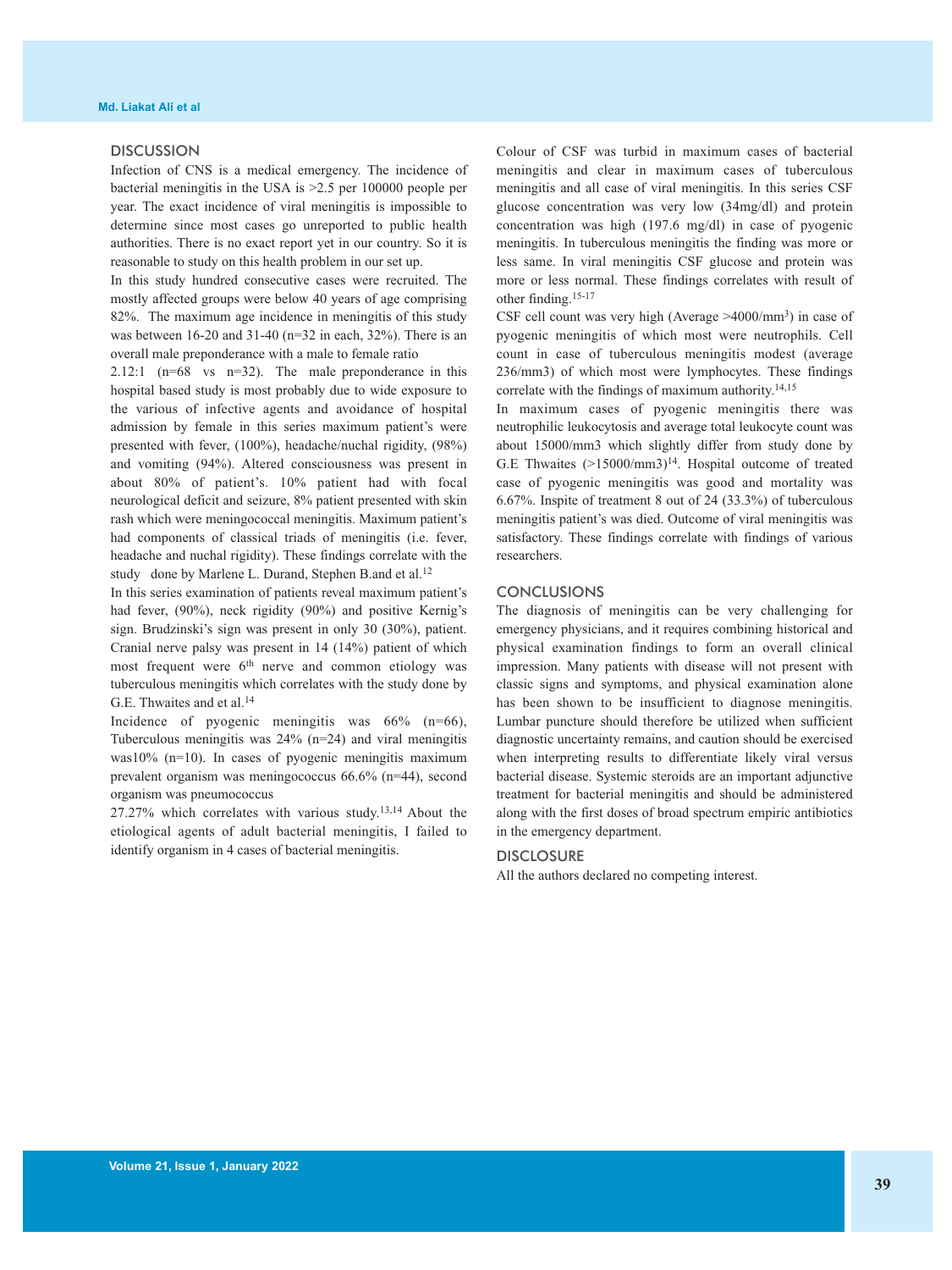### DISCUSSION

Infection of CNS is a medical emergency. The incidence of bacterial meningitis in the USA is >2.5 per 100000 people per year. The exact incidence of viral meningitis is impossible to determine since most cases go unreported to public health authorities. There is no exact report yet in our country. So it is reasonable to study on this health problem in our set up.

In this study hundred consecutive cases were recruited. The mostly affected groups were below 40 years of age comprising 82%. The maximum age incidence in meningitis of this study was between 16-20 and 31-40 (n=32 in each, 32%). There is an overall male preponderance with a male to female ratio

2.12:1  $(n=68 \text{ vs } n=32)$ . The male preponderance in this hospital based study is most probably due to wide exposure to the various of infective agents and avoidance of hospital admission by female in this series maximum patient's were presented with fever, (100%), headache/nuchal rigidity, (98%) and vomiting (94%). Altered consciousness was present in about 80% of patient's. 10% patient had with focal neurological deficit and seizure, 8% patient presented with skin rash which were meningococcal meningitis. Maximum patient's had components of classical triads of meningitis (i.e. fever, headache and nuchal rigidity). These findings correlate with the study done by Marlene L. Durand, Stephen B.and et al.<sup>12</sup>

In this series examination of patients reveal maximum patient's had fever, (90%), neck rigidity (90%) and positive Kernig's sign. Brudzinski's sign was present in only 30 (30%), patient. Cranial nerve palsy was present in 14 (14%) patient of which most frequent were 6<sup>th</sup> nerve and common etiology was tuberculous meningitis which correlates with the study done by G.E. Thwaites and et al. 14

Incidence of pyogenic meningitis was 66% (n=66), Tuberculous meningitis was 24% (n=24) and viral meningitis was10% (n=10). In cases of pyogenic meningitis maximum prevalent organism was meningococcus 66.6% (n=44), second organism was pneumococcus

27.27% which correlates with various study. 13,14 About the etiological agents of adult bacterial meningitis, I failed to identify organism in 4 cases of bacterial meningitis.

Colour of CSF was turbid in maximum cases of bacterial meningitis and clear in maximum cases of tuberculous meningitis and all case of viral meningitis. In this series CSF glucose concentration was very low (34mg/dl) and protein concentration was high (197.6 mg/dl) in case of pyogenic meningitis. In tuberculous meningitis the finding was more or less same. In viral meningitis CSF glucose and protein was more or less normal. These findings correlates with result of other finding. 15-17

CSF cell count was very high (Average >4000/mm3) in case of pyogenic meningitis of which most were neutrophils. Cell count in case of tuberculous meningitis modest (average 236/mm3) of which most were lymphocytes. These findings correlate with the findings of maximum authority. 14,15

In maximum cases of pyogenic meningitis there was neutrophilic leukocytosis and average total leukocyte count was about 15000/mm3 which slightly differ from study done by G.E Thwaites  $(>15000/\text{mm}^3)^{14}$ . Hospital outcome of treated case of pyogenic meningitis was good and mortality was 6.67%. Inspite of treatment 8 out of 24 (33.3%) of tuberculous meningitis patient's was died. Outcome of viral meningitis was satisfactory. These findings correlate with findings of various researchers.

#### **CONCLUSIONS**

The diagnosis of meningitis can be very challenging for emergency physicians, and it requires combining historical and physical examination findings to form an overall clinical impression. Many patients with disease will not present with classic signs and symptoms, and physical examination alone has been shown to be insufficient to diagnose meningitis. Lumbar puncture should therefore be utilized when sufficient diagnostic uncertainty remains, and caution should be exercised when interpreting results to differentiate likely viral versus bacterial disease. Systemic steroids are an important adjunctive treatment for bacterial meningitis and should be administered along with the first doses of broad spectrum empiric antibiotics in the emergency department.

## DISCLOSURE

All the authors declared no competing interest.